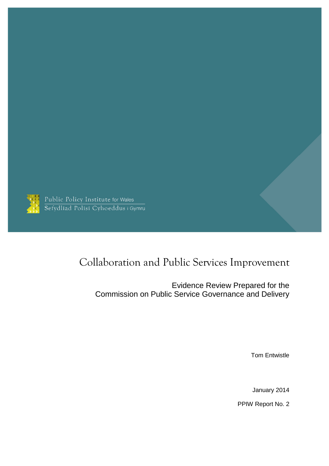

Public Policy Institute for Wales<br>Sefydliad Polisi Cyhoeddus i Gymru

# Collaboration and Public Services Improvement

Evidence Review Prepared for the Commission on Public Service Governance and Delivery

Tom Entwistle

January 2014

PPIW Report No. 2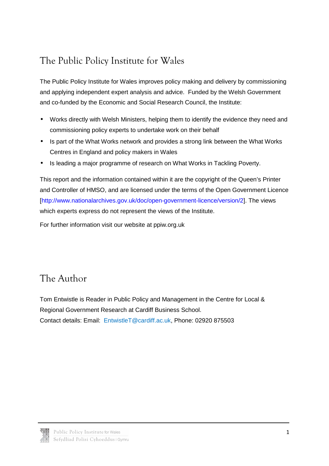# The Public Policy Institute for Wales

The Public Policy Institute for Wales improves policy making and delivery by commissioning and applying independent expert analysis and advice. Funded by the Welsh Government and co-funded by the Economic and Social Research Council, the Institute:

- Works directly with Welsh Ministers, helping them to identify the evidence they need and commissioning policy experts to undertake work on their behalf
- Is part of the What Works network and provides a strong link between the What Works Centres in England and policy makers in Wales
- Is leading a major programme of research on What Works in Tackling Poverty.

This report and the information contained within it are the copyright of the Queen's Printer and Controller of HMSO, and are licensed under the terms of the Open Government Licence [http://www.nationalarchives.gov.uk/doc/open-government-licence/version/2]. The views which experts express do not represent the views of the Institute.

For further information visit our website at ppiw.org.uk

## The Author

Tom Entwistle is Reader in Public Policy and Management in the Centre for Local & Regional Government Research at Cardiff Business School. Contact details: Email: EntwistleT@cardiff.ac.uk, Phone: 02920 875503

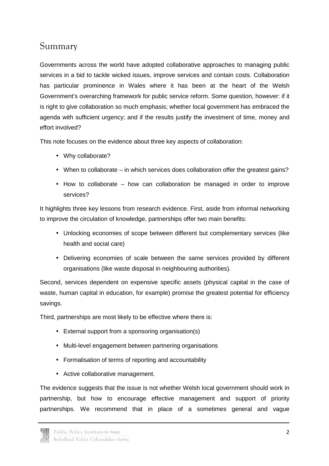### Summary

Governments across the world have adopted collaborative approaches to managing public services in a bid to tackle wicked issues, improve services and contain costs. Collaboration has particular prominence in Wales where it has been at the heart of the Welsh Government's overarching framework for public service reform. Some question, however: if it is right to give collaboration so much emphasis; whether local government has embraced the agenda with sufficient urgency; and if the results justify the investment of time, money and effort involved?

This note focuses on the evidence about three key aspects of collaboration:

- Why collaborate?
- When to collaborate in which services does collaboration offer the greatest gains?
- How to collaborate how can collaboration be managed in order to improve services?

It highlights three key lessons from research evidence. First, aside from informal networking to improve the circulation of knowledge, partnerships offer two main benefits:

- Unlocking economies of scope between different but complementary services (like health and social care)
- Delivering economies of scale between the same services provided by different organisations (like waste disposal in neighbouring authorities).

Second, services dependent on expensive specific assets (physical capital in the case of waste, human capital in education, for example) promise the greatest potential for efficiency savings.

Third, partnerships are most likely to be effective where there is:

- External support from a sponsoring organisation(s)
- Multi-level engagement between partnering organisations
- Formalisation of terms of reporting and accountability
- Active collaborative management.

The evidence suggests that the issue is not whether Welsh local government should work in partnership, but how to encourage effective management and support of priority partnerships. We recommend that in place of a sometimes general and vague

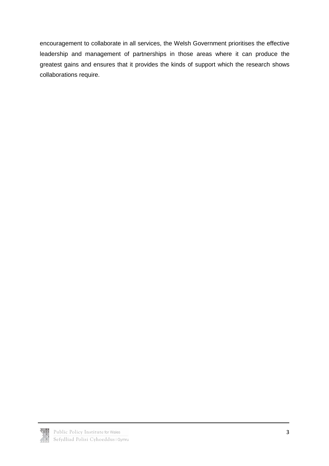encouragement to collaborate in all services, the Welsh Government prioritises the effective leadership and management of partnerships in those areas where it can produce the greatest gains and ensures that it provides the kinds of support which the research shows collaborations require.

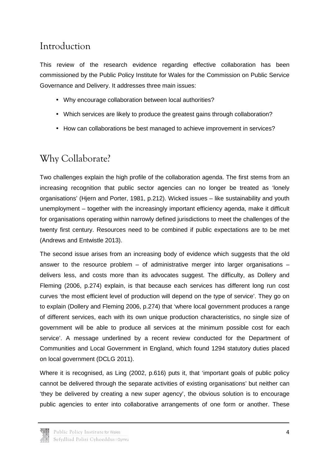## Introduction

This review of the research evidence regarding effective collaboration has been commissioned by the Public Policy Institute for Wales for the Commission on Public Service Governance and Delivery. It addresses three main issues:

- Why encourage collaboration between local authorities?
- Which services are likely to produce the greatest gains through collaboration?
- How can collaborations be best managed to achieve improvement in services?

# Why Collaborate?

Two challenges explain the high profile of the collaboration agenda. The first stems from an increasing recognition that public sector agencies can no longer be treated as 'lonely organisations' (Hjern and Porter, 1981, p.212). Wicked issues – like sustainability and youth unemployment – together with the increasingly important efficiency agenda, make it difficult for organisations operating within narrowly defined jurisdictions to meet the challenges of the twenty first century. Resources need to be combined if public expectations are to be met (Andrews and Entwistle 2013).

The second issue arises from an increasing body of evidence which suggests that the old answer to the resource problem  $-$  of administrative merger into larger organisations  $$ delivers less, and costs more than its advocates suggest. The difficulty, as Dollery and Fleming (2006, p.274) explain, is that because each services has different long run cost curves 'the most efficient level of production will depend on the type of service'. They go on to explain (Dollery and Fleming 2006, p.274) that 'where local government produces a range of different services, each with its own unique production characteristics, no single size of government will be able to produce all services at the minimum possible cost for each service'. A message underlined by a recent review conducted for the Department of Communities and Local Government in England, which found 1294 statutory duties placed on local government (DCLG 2011).

Where it is recognised, as Ling (2002, p.616) puts it, that 'important goals of public policy cannot be delivered through the separate activities of existing organisations' but neither can 'they be delivered by creating a new super agency', the obvious solution is to encourage public agencies to enter into collaborative arrangements of one form or another. These

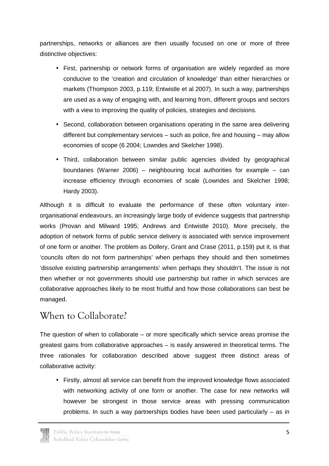partnerships, networks or alliances are then usually focused on one or more of three distinctive objectives:

- First, partnership or network forms of organisation are widely regarded as more conducive to the 'creation and circulation of knowledge' than either hierarchies or markets (Thompson 2003, p.119; Entwistle et al 2007). In such a way, partnerships are used as a way of engaging with, and learning from, different groups and sectors with a view to improving the quality of policies, strategies and decisions.
- Second, collaboration between organisations operating in the same area delivering different but complementary services – such as police, fire and housing – may allow economies of scope (6 2004; Lowndes and Skelcher 1998).
- Third, collaboration between similar public agencies divided by geographical boundaries (Warner 2006) – neighbouring local authorities for example – can increase efficiency through economies of scale (Lowndes and Skelcher 1998; Hardy 2003).

Although it is difficult to evaluate the performance of these often voluntary interorganisational endeavours, an increasingly large body of evidence suggests that partnership works (Provan and Milward 1995; Andrews and Entwistle 2010). More precisely, the adoption of network forms of public service delivery is associated with service improvement of one form or another. The problem as Dollery, Grant and Crase (2011, p.159) put it, is that 'councils often do not form partnerships' when perhaps they should and then sometimes 'dissolve existing partnership arrangements' when perhaps they shouldn't. The issue is not then whether or not governments should use partnership but rather in which services are collaborative approaches likely to be most fruitful and how those collaborations can best be managed.

## When to Collaborate?

The question of when to collaborate – or more specifically which service areas promise the greatest gains from collaborative approaches – is easily answered in theoretical terms. The three rationales for collaboration described above suggest three distinct areas of collaborative activity:

• Firstly, almost all service can benefit from the improved knowledge flows associated with networking activity of one form or another. The case for new networks will however be strongest in those service areas with pressing communication problems. In such a way partnerships bodies have been used particularly – as in

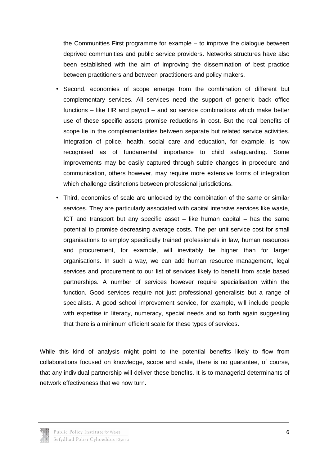the Communities First programme for example – to improve the dialogue between deprived communities and public service providers. Networks structures have also been established with the aim of improving the dissemination of best practice between practitioners and between practitioners and policy makers.

- Second, economies of scope emerge from the combination of different but complementary services. All services need the support of generic back office functions – like HR and payroll – and so service combinations which make better use of these specific assets promise reductions in cost. But the real benefits of scope lie in the complementarities between separate but related service activities. Integration of police, health, social care and education, for example, is now recognised as of fundamental importance to child safeguarding. Some improvements may be easily captured through subtle changes in procedure and communication, others however, may require more extensive forms of integration which challenge distinctions between professional jurisdictions.
- Third, economies of scale are unlocked by the combination of the same or similar services. They are particularly associated with capital intensive services like waste, ICT and transport but any specific asset – like human capital – has the same potential to promise decreasing average costs. The per unit service cost for small organisations to employ specifically trained professionals in law, human resources and procurement, for example, will inevitably be higher than for larger organisations. In such a way, we can add human resource management, legal services and procurement to our list of services likely to benefit from scale based partnerships. A number of services however require specialisation within the function. Good services require not just professional generalists but a range of specialists. A good school improvement service, for example, will include people with expertise in literacy, numeracy, special needs and so forth again suggesting that there is a minimum efficient scale for these types of services.

While this kind of analysis might point to the potential benefits likely to flow from collaborations focused on knowledge, scope and scale, there is no guarantee, of course, that any individual partnership will deliver these benefits. It is to managerial determinants of network effectiveness that we now turn.

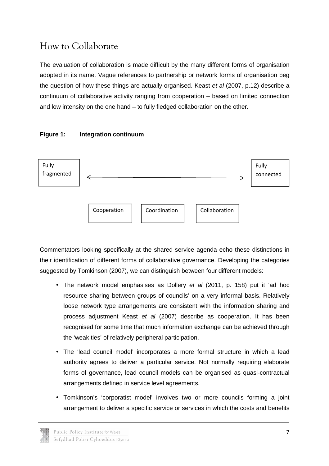# How to Collaborate

The evaluation of collaboration is made difficult by the many different forms of organisation adopted in its name. Vague references to partnership or network forms of organisation beg the question of how these things are actually organised. Keast et al (2007, p.12) describe a continuum of collaborative activity ranging from cooperation – based on limited connection and low intensity on the one hand – to fully fledged collaboration on the other.

### **Figure 1: Integration continuum**



Commentators looking specifically at the shared service agenda echo these distinctions in their identification of different forms of collaborative governance. Developing the categories suggested by Tomkinson (2007), we can distinguish between four different models:

- The network model emphasises as Dollery et al (2011, p. 158) put it 'ad hoc resource sharing between groups of councils' on a very informal basis. Relatively loose network type arrangements are consistent with the information sharing and process adjustment Keast et al (2007) describe as cooperation. It has been recognised for some time that much information exchange can be achieved through the 'weak ties' of relatively peripheral participation.
- The 'lead council model' incorporates a more formal structure in which a lead authority agrees to deliver a particular service. Not normally requiring elaborate forms of governance, lead council models can be organised as quasi-contractual arrangements defined in service level agreements.
- Tomkinson's 'corporatist model' involves two or more councils forming a joint arrangement to deliver a specific service or services in which the costs and benefits

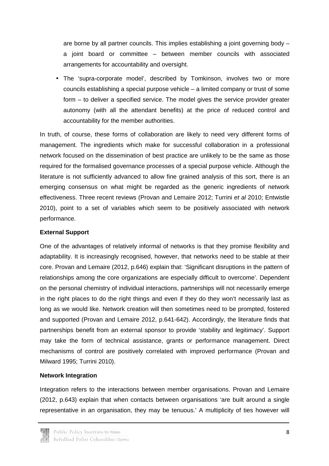are borne by all partner councils. This implies establishing a joint governing body – a joint board or committee – between member councils with associated arrangements for accountability and oversight.

• The 'supra-corporate model', described by Tomkinson, involves two or more councils establishing a special purpose vehicle – a limited company or trust of some form – to deliver a specified service. The model gives the service provider greater autonomy (with all the attendant benefits) at the price of reduced control and accountability for the member authorities.

In truth, of course, these forms of collaboration are likely to need very different forms of management. The ingredients which make for successful collaboration in a professional network focused on the dissemination of best practice are unlikely to be the same as those required for the formalised governance processes of a special purpose vehicle. Although the literature is not sufficiently advanced to allow fine grained analysis of this sort, there is an emerging consensus on what might be regarded as the generic ingredients of network effectiveness. Three recent reviews (Provan and Lemaire 2012; Turrini et al 2010; Entwistle 2010), point to a set of variables which seem to be positively associated with network performance.

#### **External Support**

One of the advantages of relatively informal of networks is that they promise flexibility and adaptability. It is increasingly recognised, however, that networks need to be stable at their core. Provan and Lemaire (2012, p.646) explain that: 'Significant disruptions in the pattern of relationships among the core organizations are especially difficult to overcome'. Dependent on the personal chemistry of individual interactions, partnerships will not necessarily emerge in the right places to do the right things and even if they do they won't necessarily last as long as we would like. Network creation will then sometimes need to be prompted, fostered and supported (Provan and Lemaire 2012, p.641-642). Accordingly, the literature finds that partnerships benefit from an external sponsor to provide 'stability and legitimacy'. Support may take the form of technical assistance, grants or performance management. Direct mechanisms of control are positively correlated with improved performance (Provan and Milward 1995; Turrini 2010).

### **Network Integration**

Integration refers to the interactions between member organisations. Provan and Lemaire (2012, p.643) explain that when contacts between organisations 'are built around a single representative in an organisation, they may be tenuous.' A multiplicity of ties however will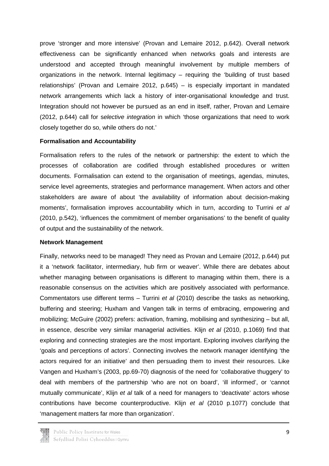prove 'stronger and more intensive' (Provan and Lemaire 2012, p.642). Overall network effectiveness can be significantly enhanced when networks goals and interests are understood and accepted through meaningful involvement by multiple members of organizations in the network. Internal legitimacy – requiring the 'building of trust based relationships' (Provan and Lemaire 2012, p.645) – is especially important in mandated network arrangements which lack a history of inter-organisational knowledge and trust. Integration should not however be pursued as an end in itself, rather, Provan and Lemaire (2012, p.644) call for selective integration in which 'those organizations that need to work closely together do so, while others do not.'

#### **Formalisation and Accountability**

Formalisation refers to the rules of the network or partnership: the extent to which the processes of collaboration are codified through established procedures or written documents. Formalisation can extend to the organisation of meetings, agendas, minutes, service level agreements, strategies and performance management. When actors and other stakeholders are aware of about 'the availability of information about decision-making moments', formalisation improves accountability which in turn, according to Turrini et al (2010, p.542), 'influences the commitment of member organisations' to the benefit of quality of output and the sustainability of the network.

#### **Network Management**

Finally, networks need to be managed! They need as Provan and Lemaire (2012, p.644) put it a 'network facilitator, intermediary, hub firm or weaver'. While there are debates about whether managing between organisations is different to managing within them, there is a reasonable consensus on the activities which are positively associated with performance. Commentators use different terms – Turrini et al (2010) describe the tasks as networking, buffering and steering; Huxham and Vangen talk in terms of embracing, empowering and mobilizing; McGuire (2002) prefers: activation, framing, mobilising and synthesizing – but all, in essence, describe very similar managerial activities. Klijn et al (2010, p.1069) find that exploring and connecting strategies are the most important. Exploring involves clarifying the 'goals and perceptions of actors'. Connecting involves the network manager identifying 'the actors required for an initiative' and then persuading them to invest their resources. Like Vangen and Huxham's (2003, pp.69-70) diagnosis of the need for 'collaborative thuggery' to deal with members of the partnership 'who are not on board', 'ill informed', or 'cannot mutually communicate', Klijn et al talk of a need for managers to 'deactivate' actors whose contributions have become counterproductive. Klijn et al (2010 p.1077) conclude that 'management matters far more than organization'.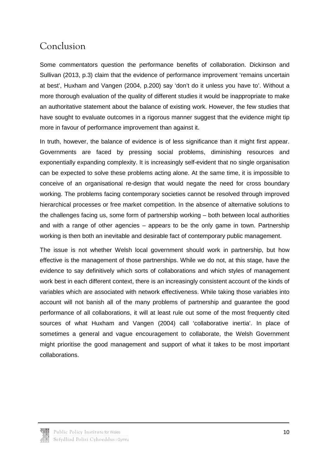## Conclusion

Some commentators question the performance benefits of collaboration. Dickinson and Sullivan (2013, p.3) claim that the evidence of performance improvement 'remains uncertain at best', Huxham and Vangen (2004, p.200) say 'don't do it unless you have to'. Without a more thorough evaluation of the quality of different studies it would be inappropriate to make an authoritative statement about the balance of existing work. However, the few studies that have sought to evaluate outcomes in a rigorous manner suggest that the evidence might tip more in favour of performance improvement than against it.

In truth, however, the balance of evidence is of less significance than it might first appear. Governments are faced by pressing social problems, diminishing resources and exponentially expanding complexity. It is increasingly self-evident that no single organisation can be expected to solve these problems acting alone. At the same time, it is impossible to conceive of an organisational re-design that would negate the need for cross boundary working. The problems facing contemporary societies cannot be resolved through improved hierarchical processes or free market competition. In the absence of alternative solutions to the challenges facing us, some form of partnership working – both between local authorities and with a range of other agencies – appears to be the only game in town. Partnership working is then both an inevitable and desirable fact of contemporary public management.

The issue is not whether Welsh local government should work in partnership, but how effective is the management of those partnerships. While we do not, at this stage, have the evidence to say definitively which sorts of collaborations and which styles of management work best in each different context, there is an increasingly consistent account of the kinds of variables which are associated with network effectiveness. While taking those variables into account will not banish all of the many problems of partnership and guarantee the good performance of all collaborations, it will at least rule out some of the most frequently cited sources of what Huxham and Vangen (2004) call 'collaborative inertia'. In place of sometimes a general and vague encouragement to collaborate, the Welsh Government might prioritise the good management and support of what it takes to be most important collaborations.

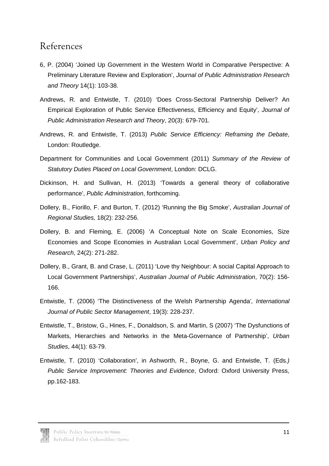### References

- 6, P. (2004) 'Joined Up Government in the Western World in Comparative Perspective: A Preliminary Literature Review and Exploration', Journal of Public Administration Research and Theory 14(1): 103-38.
- Andrews, R. and Entwistle, T. (2010) 'Does Cross-Sectoral Partnership Deliver? An Empirical Exploration of Public Service Effectiveness, Efficiency and Equity', Journal of Public Administration Research and Theory, 20(3): 679-701.
- Andrews, R. and Entwistle, T. (2013) Public Service Efficiency: Reframing the Debate, London: Routledge.
- Department for Communities and Local Government (2011) Summary of the Review of Statutory Duties Placed on Local Government, London: DCLG.
- Dickinson, H. and Sullivan, H. (2013) 'Towards a general theory of collaborative performance', Public Administration, forthcoming.
- Dollery, B., Fiorillo, F. and Burton, T. (2012) 'Running the Big Smoke', Australian Journal of Regional Studies, 18(2): 232-256.
- Dollery, B. and Fleming, E. (2006) 'A Conceptual Note on Scale Economies, Size Economies and Scope Economies in Australian Local Government', Urban Policy and Research, 24(2): 271-282.
- Dollery, B., Grant, B. and Crase, L. (2011) 'Love thy Neighbour: A social Capital Approach to Local Government Partnerships', Australian Journal of Public Administration, 70(2): 156- 166.
- Entwistle, T. (2006) 'The Distinctiveness of the Welsh Partnership Agenda', International Journal of Public Sector Management, 19(3): 228-237.
- Entwistle, T., Bristow, G., Hines, F., Donaldson, S. and Martin, S (2007) 'The Dysfunctions of Markets, Hierarchies and Networks in the Meta-Governance of Partnership', Urban Studies, 44(1): 63-79.
- Entwistle, T. (2010) 'Collaboration', in Ashworth, R., Boyne, G. and Entwistle, T. (Eds.) Public Service Improvement: Theories and Evidence, Oxford: Oxford University Press, pp.162-183.